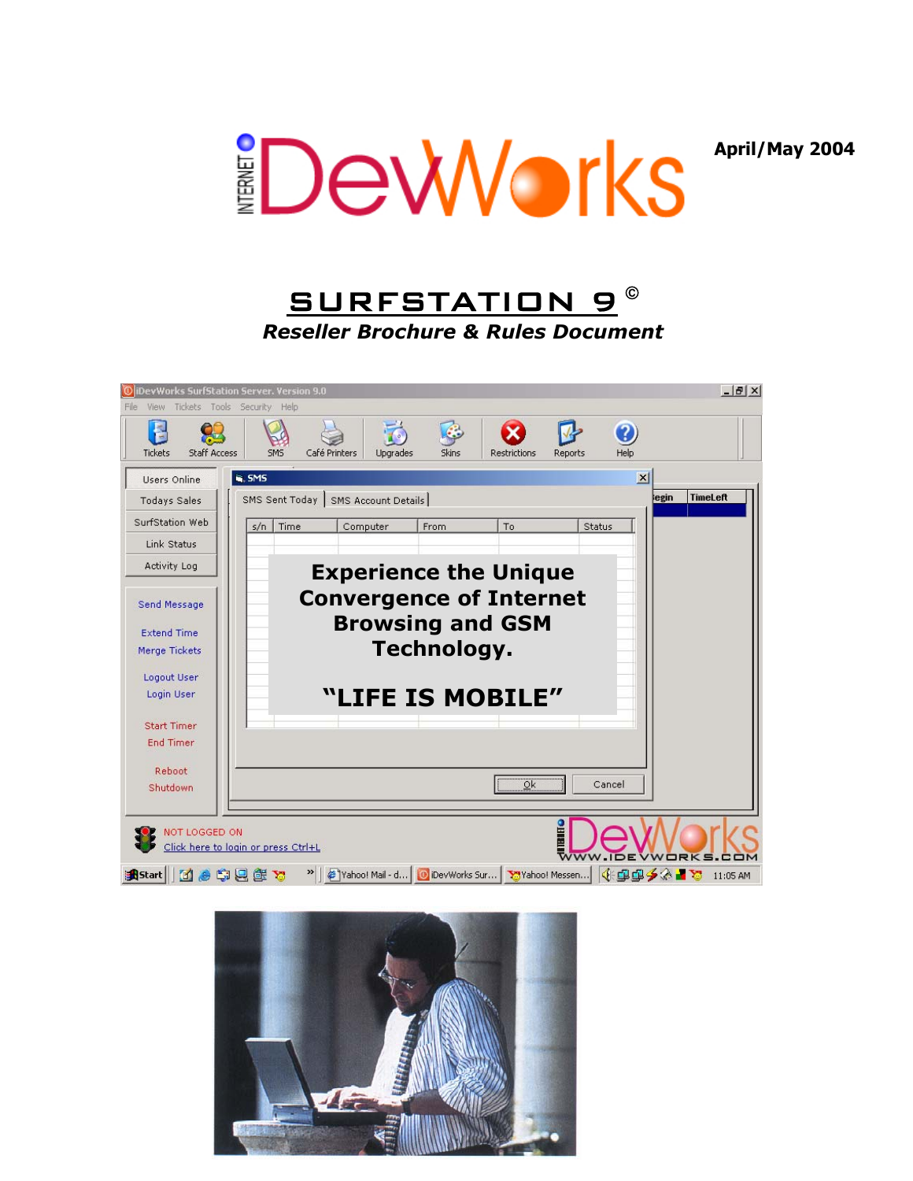**April/May 2004**







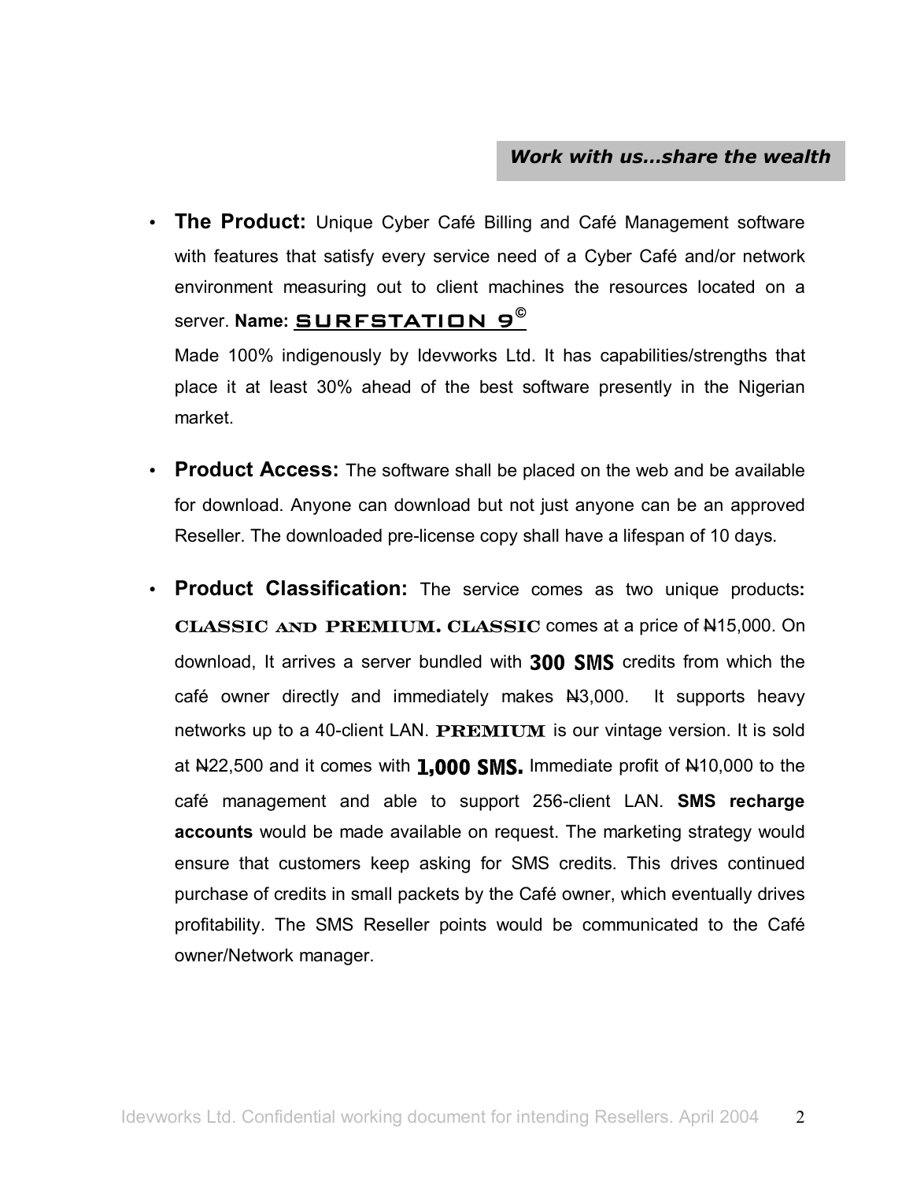#### *Work with us…share the wealth*

• **The Product:** Unique Cyber Café Billing and Café Management software with features that satisfy every service need of a Cyber Café and/or network environment measuring out to client machines the resources located on a server. Name: **SURFSTATION 9**<sup>®</sup> Made 100% indigenously by Idevworks Ltd. It has capabilities/strengths that

place it at least 30% ahead of the best software presently in the Nigerian market.

- **Product Access:** The software shall be placed on the web and be available for download. Anyone can download but not just anyone can be an approved Reseller. The downloaded pre-license copy shall have a lifespan of 10 days.
- **Product Classification:** The service comes as two unique products**:**  CLASSIC and PREMIUM. CLASSIC comes at a price of N15,000. On download, It arrives a server bundled with 300 SMS credits from which the café owner directly and immediately makes N3,000. It supports heavy networks up to a 40-client LAN. **PREMIUM** is our vintage version. It is sold at  $\mu$ 22,500 and it comes with **1,000 SMS.** Immediate profit of  $\mu$ 10,000 to the café management and able to support 256-client LAN. **SMS recharge accounts** would be made available on request. The marketing strategy would ensure that customers keep asking for SMS credits. This drives continued purchase of credits in small packets by the Café owner, which eventually drives profitability. The SMS Reseller points would be communicated to the Café owner/Network manager.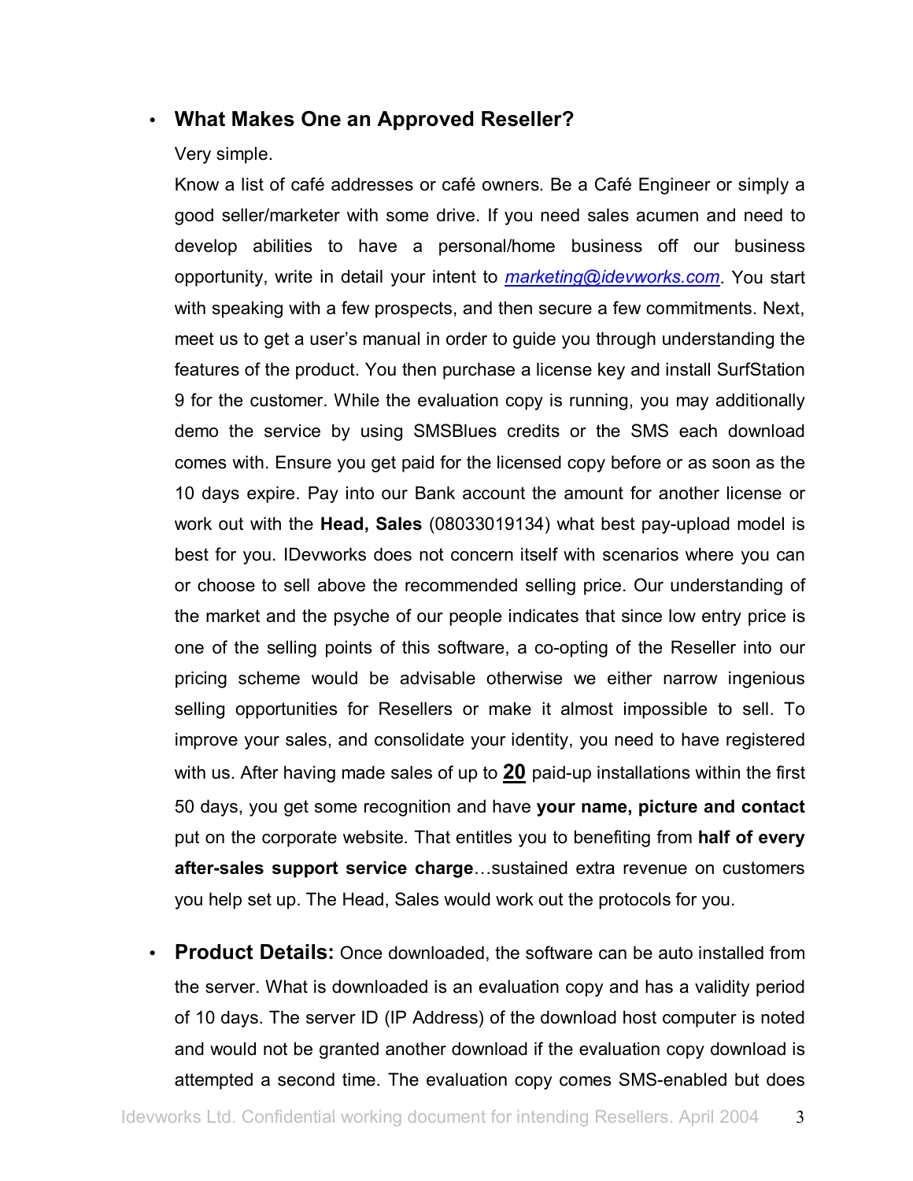#### • **What Makes One an Approved Reseller?**

#### Very simple.

Know a list of café addresses or café owners. Be a Café Engineer or simply a good seller/marketer with some drive. If you need sales acumen and need to develop abilities to have a personal/home business off our business opportunity, write in detail your intent to *marketing@idevworks.com*. You start with speaking with a few prospects, and then secure a few commitments. Next, meet us to get a user's manual in order to guide you through understanding the features of the product. You then purchase a license key and install SurfStation 9 for the customer. While the evaluation copy is running, you may additionally demo the service by using SMSBlues credits or the SMS each download comes with. Ensure you get paid for the licensed copy before or as soon as the 10 days expire. Pay into our Bank account the amount for another license or work out with the **Head, Sales** (08033019134) what best pay-upload model is best for you. IDevworks does not concern itself with scenarios where you can or choose to sell above the recommended selling price. Our understanding of the market and the psyche of our people indicates that since low entry price is one of the selling points of this software, a co-opting of the Reseller into our pricing scheme would be advisable otherwise we either narrow ingenious selling opportunities for Resellers or make it almost impossible to sell. To improve your sales, and consolidate your identity, you need to have registered with us. After having made sales of up to **20** paid-up installations within the first 50 days, you get some recognition and have **your name, picture and contact** put on the corporate website. That entitles you to benefiting from **half of every after-sales support service charge**…sustained extra revenue on customers you help set up. The Head, Sales would work out the protocols for you.

• **Product Details:** Once downloaded, the software can be auto installed from the server. What is downloaded is an evaluation copy and has a validity period of 10 days. The server ID (IP Address) of the download host computer is noted and would not be granted another download if the evaluation copy download is attempted a second time. The evaluation copy comes SMS-enabled but does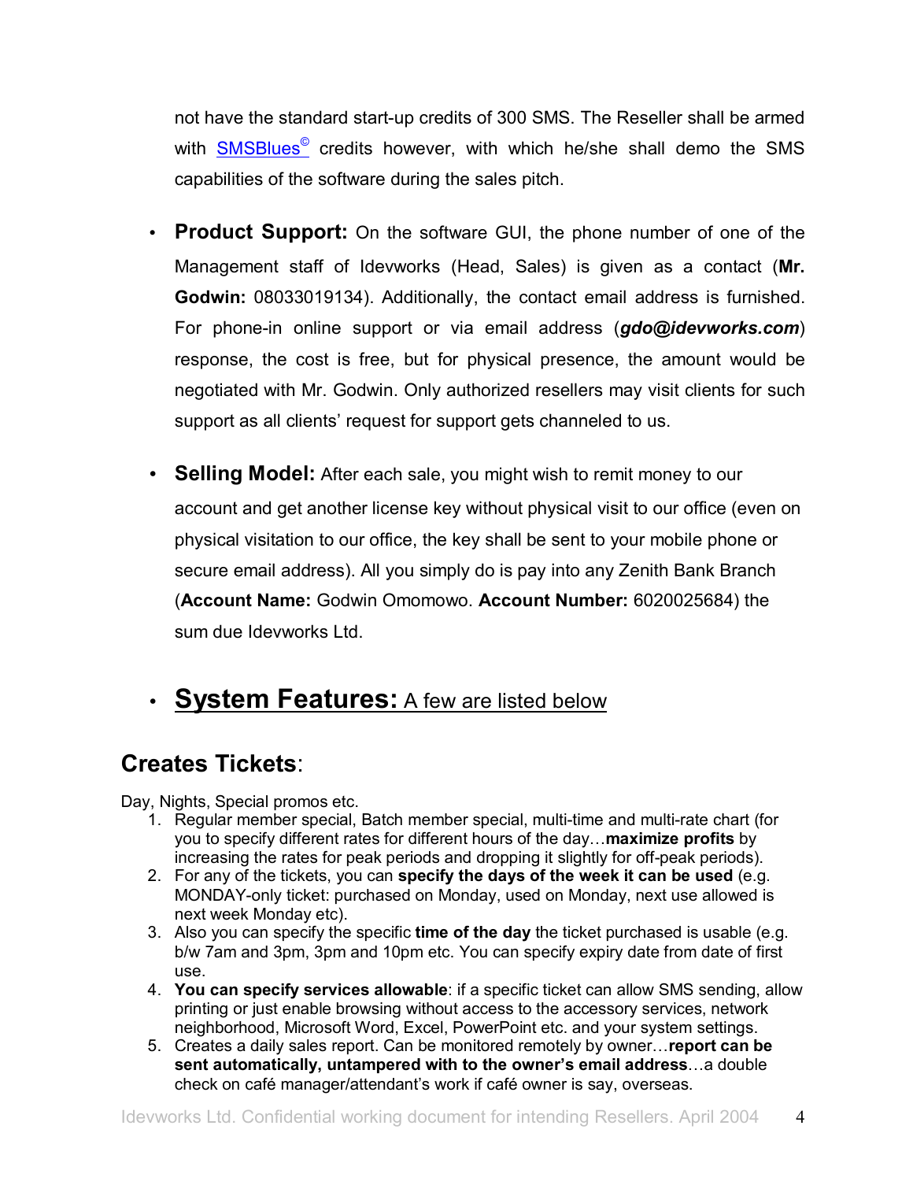not have the standard start-up credits of 300 SMS. The Reseller shall be armed with **SMSBlues<sup>®</sup>** credits however, with which he/she shall demo the SMS capabilities of the software during the sales pitch.

- **Product Support:** On the software GUI, the phone number of one of the Management staff of Idevworks (Head, Sales) is given as a contact (**Mr. Godwin:** 08033019134). Additionally, the contact email address is furnished. For phone-in online support or via email address (*gdo@idevworks.com*) response, the cost is free, but for physical presence, the amount would be negotiated with Mr. Godwin. Only authorized resellers may visit clients for such support as all clients' request for support gets channeled to us.
- **Selling Model:** After each sale, you might wish to remit money to our account and get another license key without physical visit to our office (even on physical visitation to our office, the key shall be sent to your mobile phone or secure email address). All you simply do is pay into any Zenith Bank Branch (**Account Name:** Godwin Omomowo. **Account Number:** 6020025684) the sum due Idevworks Ltd.

# • **System Features:** A few are listed below

### **Creates Tickets**:

Day, Nights, Special promos etc.

- 1. Regular member special, Batch member special, multi-time and multi-rate chart (for you to specify different rates for different hours of the day…**maximize profits** by increasing the rates for peak periods and dropping it slightly for off-peak periods).
- 2. For any of the tickets, you can **specify the days of the week it can be used** (e.g. MONDAY-only ticket: purchased on Monday, used on Monday, next use allowed is next week Monday etc).
- 3. Also you can specify the specific **time of the day** the ticket purchased is usable (e.g. b/w 7am and 3pm, 3pm and 10pm etc. You can specify expiry date from date of first use.
- 4. **You can specify services allowable**: if a specific ticket can allow SMS sending, allow printing or just enable browsing without access to the accessory services, network neighborhood, Microsoft Word, Excel, PowerPoint etc. and your system settings.
- 5. Creates a daily sales report. Can be monitored remotely by owner…**report can be sent automatically, untampered with to the owner's email address**…a double check on café manager/attendant's work if café owner is say, overseas.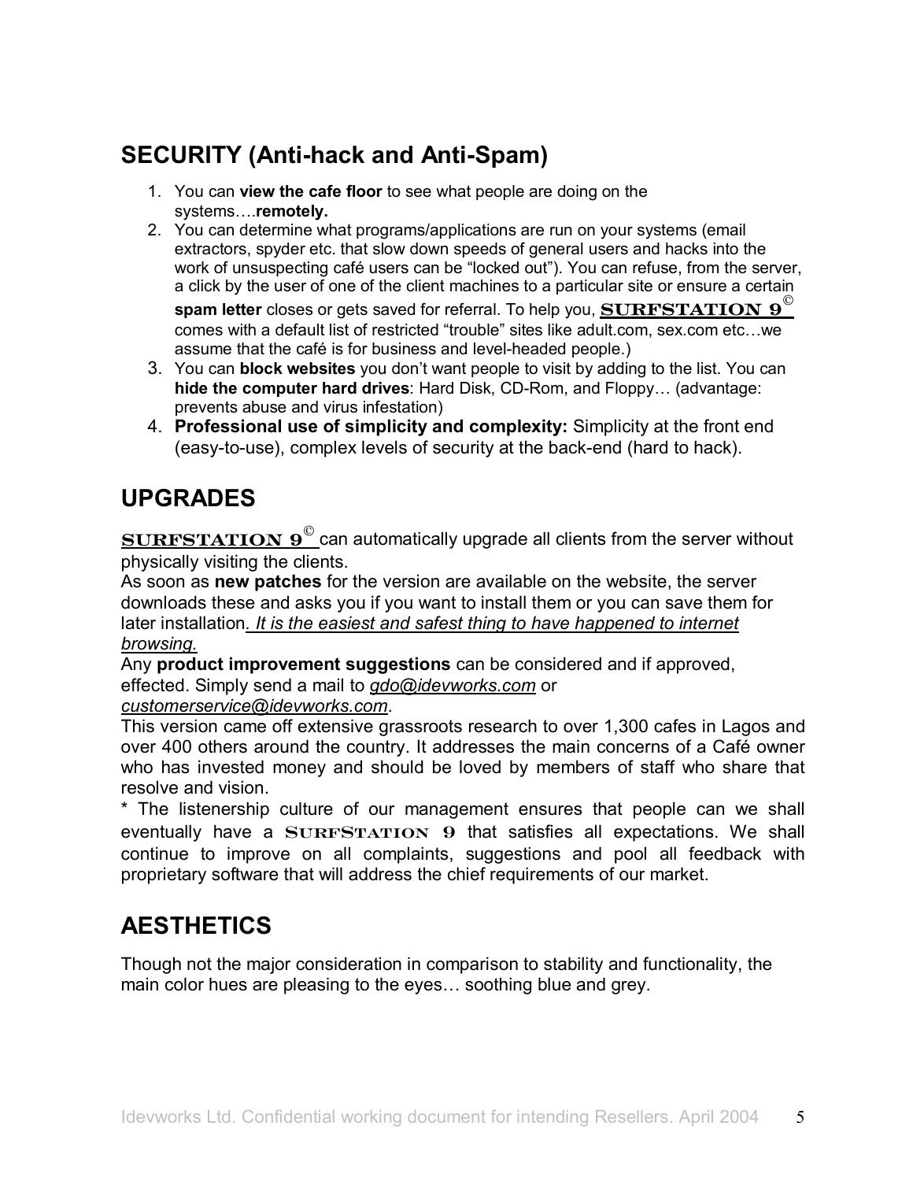## **SECURITY (Anti-hack and Anti-Spam)**

- 1. You can **view the cafe floor** to see what people are doing on the systems….**remotely.**
- 2. You can determine what programs/applications are run on your systems (email extractors, spyder etc. that slow down speeds of general users and hacks into the work of unsuspecting café users can be "locked out"). You can refuse, from the server, a click by the user of one of the client machines to a particular site or ensure a certain **spam letter** closes or gets saved for referral. To help you, **SURFSTATION 9<sup>©</sup>**

comes with a default list of restricted "trouble" sites like adult.com, sex.com etc…we assume that the café is for business and level-headed people.)

- 3. You can **block websites** you don't want people to visit by adding to the list. You can **hide the computer hard drives**: Hard Disk, CD-Rom, and Floppy… (advantage: prevents abuse and virus infestation)
- 4. **Professional use of simplicity and complexity:** Simplicity at the front end (easy-to-use), complex levels of security at the back-end (hard to hack).

# **UPGRADES**

**SURFSTATION 9<sup>** $\circ$ **</sup> can automatically upgrade all clients from the server without** physically visiting the clients.

As soon as **new patches** for the version are available on the website, the server downloads these and asks you if you want to install them or you can save them for later installation*. It is the easiest and safest thing to have happened to internet browsing.*

Any **product improvement suggestions** can be considered and if approved, effected. Simply send a mail to *gdo@idevworks.com* or *customerservice@idevworks.com*.

This version came off extensive grassroots research to over 1,300 cafes in Lagos and over 400 others around the country. It addresses the main concerns of a Café owner who has invested money and should be loved by members of staff who share that resolve and vision.

\* The listenership culture of our management ensures that people can we shall eventually have a  $\text{SURFSTATION}$  9 that satisfies all expectations. We shall continue to improve on all complaints, suggestions and pool all feedback with proprietary software that will address the chief requirements of our market.

## **AESTHETICS**

Though not the major consideration in comparison to stability and functionality, the main color hues are pleasing to the eyes… soothing blue and grey.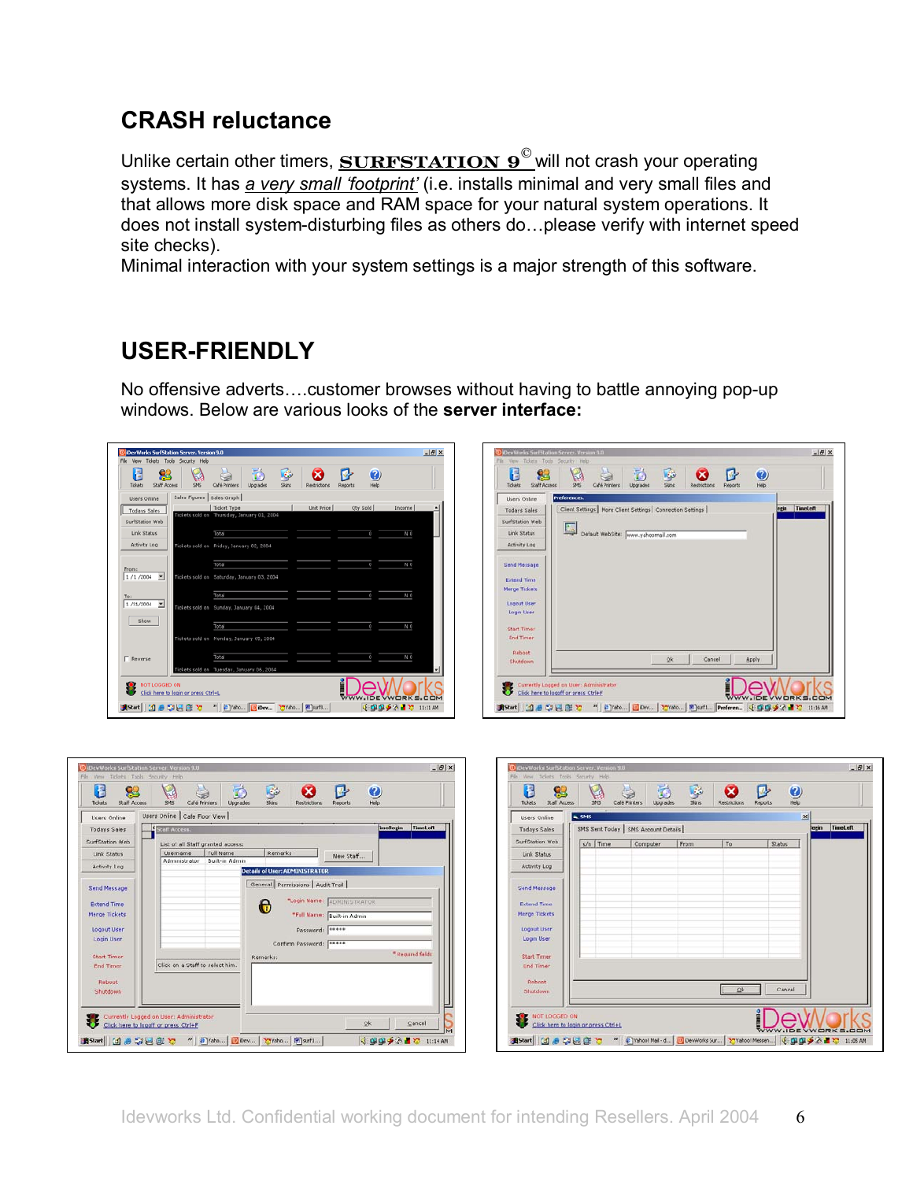### **CRASH reluctance**

Unlike certain other timers, **SURFSTATION 9**<sup>©</sup> will not crash your operating systems. It has *a very small 'footprint'* (i.e. installs minimal and very small files and that allows more disk space and RAM space for your natural system operations. It does not install system-disturbing files as others do…please verify with internet speed site checks).

Minimal interaction with your system settings is a major strength of this software.

#### **USER-FRIENDLY**

No offensive adverts….customer browses without having to battle annoying pop-up windows. Below are various looks of the **server interface:**

| Users Online               | Sales Figures   Sales Graph                |                    | Users Online        | Preferences.                                                 |               |
|----------------------------|--------------------------------------------|--------------------|---------------------|--------------------------------------------------------------|---------------|
| <b>Todays Sales</b>        | Unit Price<br>Ticket Type                  | Qty Sold<br>Income | <b>Todays Sales</b> | Client Settings   More Client Settings   Connection Settings | egin TimeLeft |
| SurfStation Web            | Tickets sold on Thursday, January 01, 2004 |                    | SurfStation Web     |                                                              |               |
| Link Status                | Total                                      | N <sub>0</sub>     | Link Status         | Default WebSite: www.yahoomail.com                           |               |
| Activity Log               | Tickets sold on Friday, January 02, 2004   |                    | Activity Log        |                                                              |               |
|                            |                                            |                    |                     |                                                              |               |
| From:                      | Total                                      | N <sub>0</sub>     | Send Message        |                                                              |               |
| $1/1/2004$ $\equiv$        | Tickets sold on Saturday, January 03, 2004 |                    | <b>Extend Time</b>  |                                                              |               |
| To:                        | Total                                      | N <sub>0</sub>     | Merge Tickets       |                                                              |               |
| $1/31/2004$ $\blacksquare$ | Tickets sold on Sunday, January 04, 2004   |                    | Logout User         |                                                              |               |
|                            |                                            |                    | Login User          |                                                              |               |
| Show                       | Total                                      | N <sub>0</sub>     | Start Timer         |                                                              |               |
|                            | Tickets sold on Monday, January 05, 2004   |                    | <b>End Timer</b>    |                                                              |               |
|                            |                                            |                    | Reboot              |                                                              |               |
| $\Gamma$ Reverse           | Total                                      | N <sub>0</sub>     | Shutdown            | 2k<br>Apply<br>Cancel                                        |               |
|                            | Tickets sold on Tuesday, January 06, 2004  |                    |                     |                                                              |               |

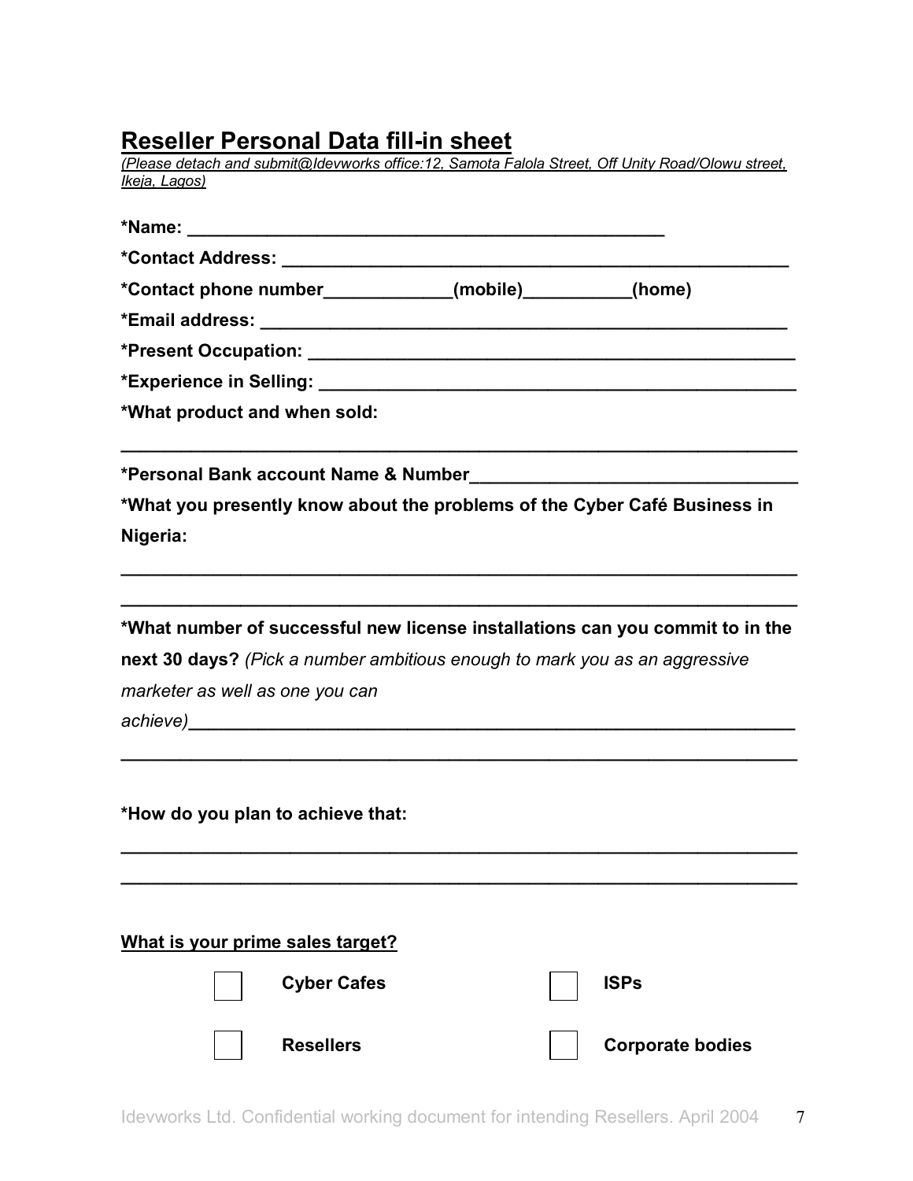### **Reseller Personal Data fill-in sheet**

*(Please detach and submit@Idevworks office:12, Samota Falola Street, Off Unity Road/Olowu street, Ikeja, Lagos)*

| *Contact phone number_____________(mobile)__________(home)                    |  |                         |  |  |  |  |
|-------------------------------------------------------------------------------|--|-------------------------|--|--|--|--|
|                                                                               |  |                         |  |  |  |  |
|                                                                               |  |                         |  |  |  |  |
|                                                                               |  |                         |  |  |  |  |
| *What product and when sold:                                                  |  |                         |  |  |  |  |
|                                                                               |  |                         |  |  |  |  |
| *What you presently know about the problems of the Cyber Café Business in     |  |                         |  |  |  |  |
| Nigeria:                                                                      |  |                         |  |  |  |  |
|                                                                               |  |                         |  |  |  |  |
|                                                                               |  |                         |  |  |  |  |
| *What number of successful new license installations can you commit to in the |  |                         |  |  |  |  |
| next 30 days? (Pick a number ambitious enough to mark you as an aggressive    |  |                         |  |  |  |  |
| marketer as well as one you can                                               |  |                         |  |  |  |  |
|                                                                               |  |                         |  |  |  |  |
|                                                                               |  |                         |  |  |  |  |
| *How do you plan to achieve that:                                             |  |                         |  |  |  |  |
|                                                                               |  |                         |  |  |  |  |
|                                                                               |  |                         |  |  |  |  |
| <u>What is your prime sales target?</u>                                       |  |                         |  |  |  |  |
| <b>Cyber Cafes</b>                                                            |  | <b>ISPs</b>             |  |  |  |  |
| <b>Resellers</b>                                                              |  | <b>Corporate bodies</b> |  |  |  |  |